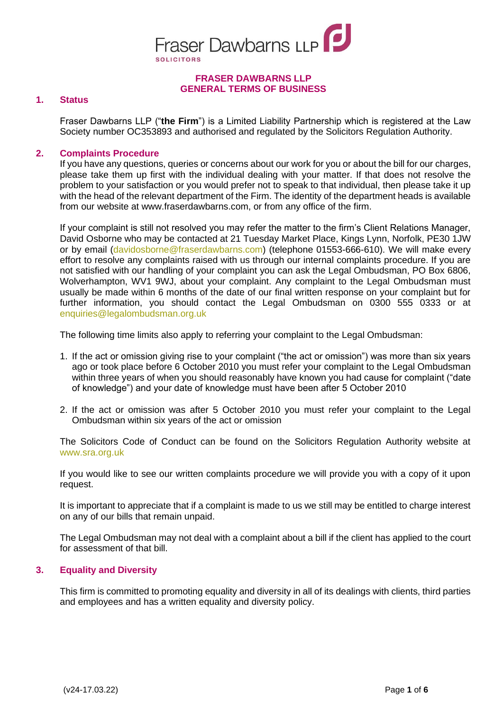

### **FRASER DAWBARNS LLP GENERAL TERMS OF BUSINESS**

## **1. Status**

Fraser Dawbarns LLP ("**the Firm**") is a Limited Liability Partnership which is registered at the Law Society number OC353893 and authorised and regulated by the Solicitors Regulation Authority.

## **2. Complaints Procedure**

If you have any questions, queries or concerns about our work for you or about the bill for our charges, please take them up first with the individual dealing with your matter. If that does not resolve the problem to your satisfaction or you would prefer not to speak to that individual, then please take it up with the head of the relevant department of the Firm. The identity of the department heads is available from our website at www.fraserdawbarns.com, or from any office of the firm.

If your complaint is still not resolved you may refer the matter to the firm's Client Relations Manager, David Osborne who may be contacted at 21 Tuesday Market Place, Kings Lynn, Norfolk, PE30 1JW or by email (davidosborne@fraserdawbarns.com) (telephone 01553-666-610). We will make every effort to resolve any complaints raised with us through our internal complaints procedure. If you are not satisfied with our handling of your complaint you can ask the Legal Ombudsman, PO Box 6806, Wolverhampton, WV1 9WJ, about your complaint. Any complaint to the Legal Ombudsman must usually be made within 6 months of the date of our final written response on your complaint but for further information, you should contact the Legal Ombudsman on 0300 555 0333 or at [enquiries@legalombudsman.org.uk](mailto:enquiries@legalombudsman.org.uk)

The following time limits also apply to referring your complaint to the Legal Ombudsman:

- 1. If the act or omission giving rise to your complaint ("the act or omission") was more than six years ago or took place before 6 October 2010 you must refer your complaint to the Legal Ombudsman within three years of when you should reasonably have known you had cause for complaint ("date of knowledge") and your date of knowledge must have been after 5 October 2010
- 2. If the act or omission was after 5 October 2010 you must refer your complaint to the Legal Ombudsman within six years of the act or omission

The Solicitors Code of Conduct can be found on the Solicitors Regulation Authority website at [www.sra.org.uk](http://www.sra.org.uk/)

If you would like to see our written complaints procedure we will provide you with a copy of it upon request.

It is important to appreciate that if a complaint is made to us we still may be entitled to charge interest on any of our bills that remain unpaid.

The Legal Ombudsman may not deal with a complaint about a bill if the client has applied to the court for assessment of that bill.

#### **3. Equality and Diversity**

This firm is committed to promoting equality and diversity in all of its dealings with clients, third parties and employees and has a written equality and diversity policy.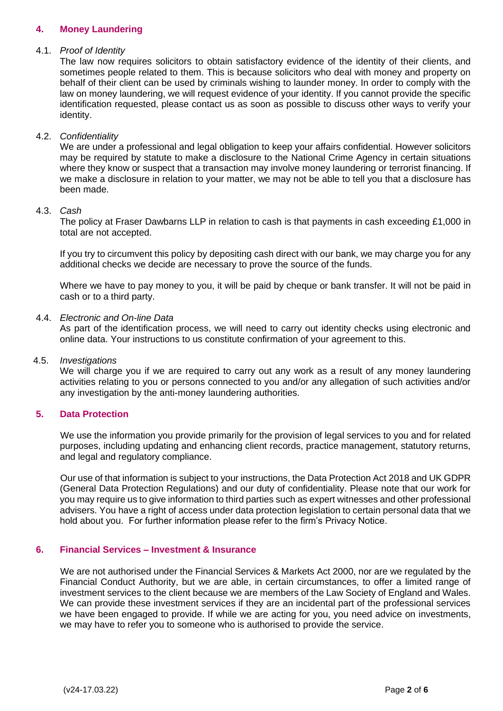# **4. Money Laundering**

### 4.1. *Proof of Identity*

The law now requires solicitors to obtain satisfactory evidence of the identity of their clients, and sometimes people related to them. This is because solicitors who deal with money and property on behalf of their client can be used by criminals wishing to launder money. In order to comply with the law on money laundering, we will request evidence of your identity. If you cannot provide the specific identification requested, please contact us as soon as possible to discuss other ways to verify your identity.

## 4.2. *Confidentiality*

We are under a professional and legal obligation to keep your affairs confidential. However solicitors may be required by statute to make a disclosure to the National Crime Agency in certain situations where they know or suspect that a transaction may involve money laundering or terrorist financing. If we make a disclosure in relation to your matter, we may not be able to tell you that a disclosure has been made.

## 4.3. *Cash*

The policy at Fraser Dawbarns LLP in relation to cash is that payments in cash exceeding £1,000 in total are not accepted.

If you try to circumvent this policy by depositing cash direct with our bank, we may charge you for any additional checks we decide are necessary to prove the source of the funds.

Where we have to pay money to you, it will be paid by cheque or bank transfer. It will not be paid in cash or to a third party.

## 4.4. *Electronic and On-line Data*

As part of the identification process, we will need to carry out identity checks using electronic and online data. Your instructions to us constitute confirmation of your agreement to this.

#### 4.5. *Investigations*

We will charge you if we are required to carry out any work as a result of any money laundering activities relating to you or persons connected to you and/or any allegation of such activities and/or any investigation by the anti-money laundering authorities.

# **5. Data Protection**

We use the information you provide primarily for the provision of legal services to you and for related purposes, including updating and enhancing client records, practice management, statutory returns, and legal and regulatory compliance.

Our use of that information is subject to your instructions, the Data Protection Act 2018 and UK GDPR (General Data Protection Regulations) and our duty of confidentiality. Please note that our work for you may require us to give information to third parties such as expert witnesses and other professional advisers. You have a right of access under data protection legislation to certain personal data that we hold about you. For further information please refer to the firm's Privacy Notice.

# **6. Financial Services – Investment & Insurance**

We are not authorised under the Financial Services & Markets Act 2000, nor are we regulated by the Financial Conduct Authority, but we are able, in certain circumstances, to offer a limited range of investment services to the client because we are members of the Law Society of England and Wales. We can provide these investment services if they are an incidental part of the professional services we have been engaged to provide. If while we are acting for you, you need advice on investments, we may have to refer you to someone who is authorised to provide the service.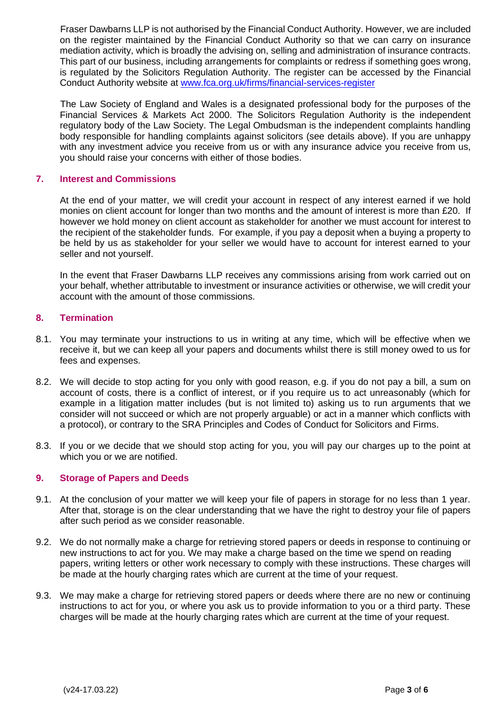Fraser Dawbarns LLP is not authorised by the Financial Conduct Authority. However, we are included on the register maintained by the Financial Conduct Authority so that we can carry on insurance mediation activity, which is broadly the advising on, selling and administration of insurance contracts. This part of our business, including arrangements for complaints or redress if something goes wrong, is regulated by the Solicitors Regulation Authority. The register can be accessed by the Financial Conduct Authority website at [www.fca.org.uk/firms/financial-services-register](http://www.fca.org.uk/firms/financial-services-register)

The Law Society of England and Wales is a designated professional body for the purposes of the Financial Services & Markets Act 2000. The Solicitors Regulation Authority is the independent regulatory body of the Law Society. The Legal Ombudsman is the independent complaints handling body responsible for handling complaints against solicitors (see details above). If you are unhappy with any investment advice you receive from us or with any insurance advice you receive from us, you should raise your concerns with either of those bodies.

## **7. Interest and Commissions**

At the end of your matter, we will credit your account in respect of any interest earned if we hold monies on client account for longer than two months and the amount of interest is more than £20. If however we hold money on client account as stakeholder for another we must account for interest to the recipient of the stakeholder funds. For example, if you pay a deposit when a buying a property to be held by us as stakeholder for your seller we would have to account for interest earned to your seller and not yourself.

In the event that Fraser Dawbarns LLP receives any commissions arising from work carried out on your behalf, whether attributable to investment or insurance activities or otherwise, we will credit your account with the amount of those commissions.

## **8. Termination**

- 8.1. You may terminate your instructions to us in writing at any time, which will be effective when we receive it, but we can keep all your papers and documents whilst there is still money owed to us for fees and expenses.
- 8.2. We will decide to stop acting for you only with good reason, e.g. if you do not pay a bill, a sum on account of costs, there is a conflict of interest, or if you require us to act unreasonably (which for example in a litigation matter includes (but is not limited to) asking us to run arguments that we consider will not succeed or which are not properly arguable) or act in a manner which conflicts with a protocol), or contrary to the SRA Principles and Codes of Conduct for Solicitors and Firms.
- 8.3. If you or we decide that we should stop acting for you, you will pay our charges up to the point at which you or we are notified.

#### **9. Storage of Papers and Deeds**

- 9.1. At the conclusion of your matter we will keep your file of papers in storage for no less than 1 year. After that, storage is on the clear understanding that we have the right to destroy your file of papers after such period as we consider reasonable.
- 9.2. We do not normally make a charge for retrieving stored papers or deeds in response to continuing or new instructions to act for you. We may make a charge based on the time we spend on reading papers, writing letters or other work necessary to comply with these instructions. These charges will be made at the hourly charging rates which are current at the time of your request.
- 9.3. We may make a charge for retrieving stored papers or deeds where there are no new or continuing instructions to act for you, or where you ask us to provide information to you or a third party. These charges will be made at the hourly charging rates which are current at the time of your request.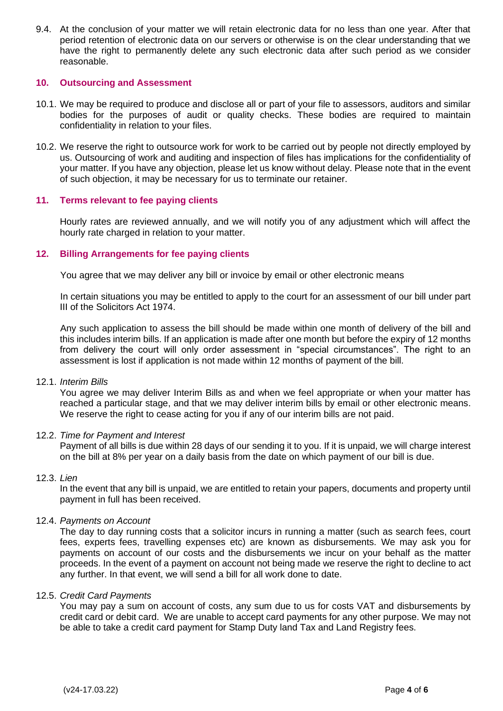9.4. At the conclusion of your matter we will retain electronic data for no less than one year. After that period retention of electronic data on our servers or otherwise is on the clear understanding that we have the right to permanently delete any such electronic data after such period as we consider reasonable.

## **10. Outsourcing and Assessment**

- 10.1. We may be required to produce and disclose all or part of your file to assessors, auditors and similar bodies for the purposes of audit or quality checks. These bodies are required to maintain confidentiality in relation to your files.
- 10.2. We reserve the right to outsource work for work to be carried out by people not directly employed by us. Outsourcing of work and auditing and inspection of files has implications for the confidentiality of your matter. If you have any objection, please let us know without delay. Please note that in the event of such objection, it may be necessary for us to terminate our retainer.

## **11. Terms relevant to fee paying clients**

Hourly rates are reviewed annually, and we will notify you of any adjustment which will affect the hourly rate charged in relation to your matter.

## **12. Billing Arrangements for fee paying clients**

You agree that we may deliver any bill or invoice by email or other electronic means

In certain situations you may be entitled to apply to the court for an assessment of our bill under part III of the Solicitors Act 1974.

Any such application to assess the bill should be made within one month of delivery of the bill and this includes interim bills. If an application is made after one month but before the expiry of 12 months from delivery the court will only order assessment in "special circumstances". The right to an assessment is lost if application is not made within 12 months of payment of the bill.

#### 12.1. *Interim Bills*

You agree we may deliver Interim Bills as and when we feel appropriate or when your matter has reached a particular stage, and that we may deliver interim bills by email or other electronic means. We reserve the right to cease acting for you if any of our interim bills are not paid.

#### 12.2. *Time for Payment and Interest*

Payment of all bills is due within 28 days of our sending it to you. If it is unpaid, we will charge interest on the bill at 8% per year on a daily basis from the date on which payment of our bill is due.

#### 12.3. *Lien*

In the event that any bill is unpaid, we are entitled to retain your papers, documents and property until payment in full has been received.

## 12.4. *Payments on Account*

The day to day running costs that a solicitor incurs in running a matter (such as search fees, court fees, experts fees, travelling expenses etc) are known as disbursements. We may ask you for payments on account of our costs and the disbursements we incur on your behalf as the matter proceeds. In the event of a payment on account not being made we reserve the right to decline to act any further. In that event, we will send a bill for all work done to date.

### 12.5. *Credit Card Payments*

You may pay a sum on account of costs, any sum due to us for costs VAT and disbursements by credit card or debit card. We are unable to accept card payments for any other purpose. We may not be able to take a credit card payment for Stamp Duty land Tax and Land Registry fees.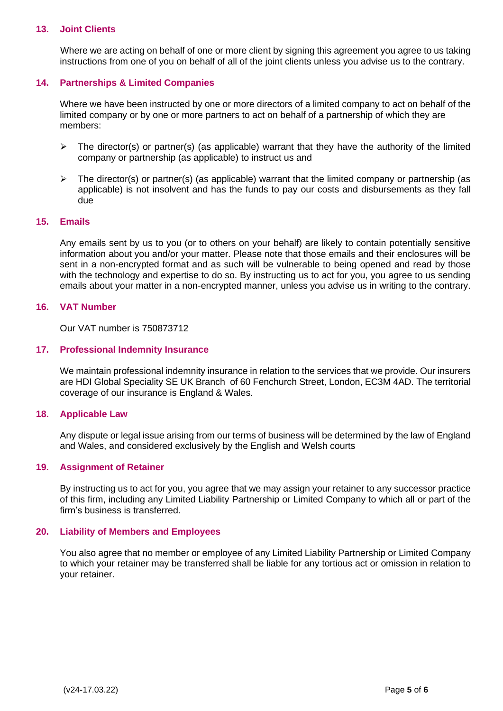## **13. Joint Clients**

Where we are acting on behalf of one or more client by signing this agreement you agree to us taking instructions from one of you on behalf of all of the joint clients unless you advise us to the contrary.

# **14. Partnerships & Limited Companies**

Where we have been instructed by one or more directors of a limited company to act on behalf of the limited company or by one or more partners to act on behalf of a partnership of which they are members:

- $\triangleright$  The director(s) or partner(s) (as applicable) warrant that they have the authority of the limited company or partnership (as applicable) to instruct us and
- $\triangleright$  The director(s) or partner(s) (as applicable) warrant that the limited company or partnership (as applicable) is not insolvent and has the funds to pay our costs and disbursements as they fall due

## **15. Emails**

Any emails sent by us to you (or to others on your behalf) are likely to contain potentially sensitive information about you and/or your matter. Please note that those emails and their enclosures will be sent in a non-encrypted format and as such will be vulnerable to being opened and read by those with the technology and expertise to do so. By instructing us to act for you, you agree to us sending emails about your matter in a non-encrypted manner, unless you advise us in writing to the contrary.

## **16. VAT Number**

Our VAT number is 750873712

#### **17. Professional Indemnity Insurance**

We maintain professional indemnity insurance in relation to the services that we provide. Our insurers are HDI Global Speciality SE UK Branch of 60 Fenchurch Street, London, EC3M 4AD. The territorial coverage of our insurance is England & Wales.

#### **18. Applicable Law**

Any dispute or legal issue arising from our terms of business will be determined by the law of England and Wales, and considered exclusively by the English and Welsh courts

#### **19. Assignment of Retainer**

By instructing us to act for you, you agree that we may assign your retainer to any successor practice of this firm, including any Limited Liability Partnership or Limited Company to which all or part of the firm's business is transferred.

#### **20. Liability of Members and Employees**

You also agree that no member or employee of any Limited Liability Partnership or Limited Company to which your retainer may be transferred shall be liable for any tortious act or omission in relation to your retainer.